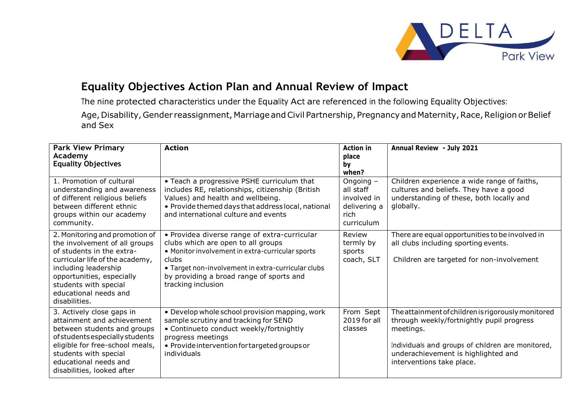

## **Equality Objectives Action Plan and Annual Review of Impact**

The nine protected characteristics under the Equality Act are referenced in the following Equality Objectives:

Age, Disability, Gender reassignment, Marriage and Civil Partnership, Pregnancy and Maternity, Race, Religion or Belief and Sex

| <b>Park View Primary</b><br>Academy<br><b>Equality Objectives</b>                                                                                                                                                                                       | <b>Action</b>                                                                                                                                                                                                                                                            | <b>Action in</b><br>place<br>by<br>when?                                      | <b>Annual Review - July 2021</b>                                                                                                                                                                                                      |
|---------------------------------------------------------------------------------------------------------------------------------------------------------------------------------------------------------------------------------------------------------|--------------------------------------------------------------------------------------------------------------------------------------------------------------------------------------------------------------------------------------------------------------------------|-------------------------------------------------------------------------------|---------------------------------------------------------------------------------------------------------------------------------------------------------------------------------------------------------------------------------------|
| 1. Promotion of cultural<br>understanding and awareness<br>of different religious beliefs<br>between different ethnic<br>groups within our academy<br>community.                                                                                        | • Teach a progressive PSHE curriculum that<br>includes RE, relationships, citizenship (British<br>Values) and health and wellbeing.<br>• Provide themed days that address local, national<br>and international culture and events                                        | Ongoing $-$<br>all staff<br>involved in<br>delivering a<br>rich<br>curriculum | Children experience a wide range of faiths,<br>cultures and beliefs. They have a good<br>understanding of these, both locally and<br>globally.                                                                                        |
| 2. Monitoring and promotion of<br>the involvement of all groups<br>of students in the extra-<br>curricular life of the academy,<br>including leadership<br>opportunities, especially<br>students with special<br>educational needs and<br>disabilities. | • Providea diverse range of extra-curricular<br>clubs which are open to all groups<br>• Monitor involvement in extra-curricular sports<br>clubs.<br>• Target non-involvement in extra-curricular clubs<br>by providing a broad range of sports and<br>tracking inclusion | Review<br>termly by<br>sports<br>coach, SLT                                   | There are equal opportunities to be involved in<br>all clubs including sporting events.<br>Children are targeted for non-involvement                                                                                                  |
| 3. Actively close gaps in<br>attainment and achievement<br>between students and groups<br>of students especially students<br>eligible for free-school meals,<br>students with special<br>educational needs and<br>disabilities, looked after            | • Develop whole school provision mapping, work<br>sample scrutiny and tracking for SEND<br>• Continueto conduct weekly/fortnightly<br>progress meetings<br>• Provide intervention for targeted groups or<br><i>individuals</i>                                           | From Sept<br>2019 for all<br><b>classes</b>                                   | The attainment of children is rigorously monitored<br>through weekly/fortnightly pupil progress<br>meetings.<br>Individuals and groups of children are monitored,<br>underachievement is highlighted and<br>interventions take place. |